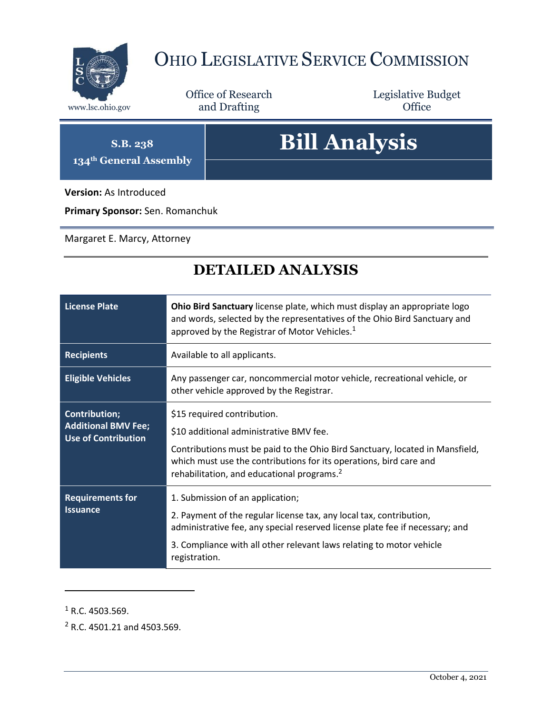

## OHIO LEGISLATIVE SERVICE COMMISSION

Office of Research www.lsc.ohio.gov **and Drafting Office** 

Legislative Budget

**S.B. 238 134th General Assembly**

## **Bill Analysis**

**Version:** As Introduced

**Primary Sponsor:** Sen. Romanchuk

Margaret E. Marcy, Attorney

## **DETAILED ANALYSIS**

| <b>License Plate</b>                                                             | Ohio Bird Sanctuary license plate, which must display an appropriate logo<br>and words, selected by the representatives of the Ohio Bird Sanctuary and<br>approved by the Registrar of Motor Vehicles. <sup>1</sup>                                                                    |  |
|----------------------------------------------------------------------------------|----------------------------------------------------------------------------------------------------------------------------------------------------------------------------------------------------------------------------------------------------------------------------------------|--|
| <b>Recipients</b>                                                                | Available to all applicants.                                                                                                                                                                                                                                                           |  |
| <b>Eligible Vehicles</b>                                                         | Any passenger car, noncommercial motor vehicle, recreational vehicle, or<br>other vehicle approved by the Registrar.                                                                                                                                                                   |  |
| <b>Contribution;</b><br><b>Additional BMV Fee;</b><br><b>Use of Contribution</b> | \$15 required contribution.<br>\$10 additional administrative BMV fee.<br>Contributions must be paid to the Ohio Bird Sanctuary, located in Mansfield,<br>which must use the contributions for its operations, bird care and<br>rehabilitation, and educational programs. <sup>2</sup> |  |
| <b>Requirements for</b><br><b>Issuance</b>                                       | 1. Submission of an application;<br>2. Payment of the regular license tax, any local tax, contribution,<br>administrative fee, any special reserved license plate fee if necessary; and<br>3. Compliance with all other relevant laws relating to motor vehicle<br>registration.       |  |

 $1$  R.C. 4503.569.

 $\overline{a}$ 

<sup>2</sup> R.C. 4501.21 and 4503.569.